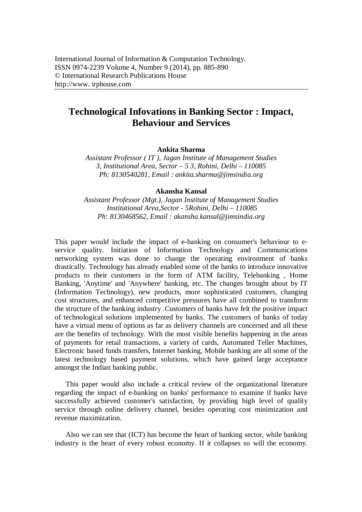# **Technological Infovations in Banking Sector : Impact, Behaviour and Services**

**Ankita Sharma**

*Assistant Professor ( IT ), Jagan Institute of Management Studies 3, Institutional Area, Sector – 5 3, Rohini, Delhi – 110085 Ph: 8130540281, Email : ankita.sharma@jimsindia.org*

#### **Akansha Kansal**

*Assistant Professor (Mgt.), Jagan Institute of Management Studies Institutional Area,Sector - 5Rohini, Delhi – 110085 Ph: 8130468562, Email : akansha.kansal@jimsindia.org*

This paper would include the impact of e-banking on consumer's behaviour to eservice quality. Initiation of Information Technology and Communications networking system was done to change the operating environment of banks drastically. Technology has already enabled some of the banks to introduce innovative products to their customers in the form of ATM facility, Telebanking , Home Banking, 'Anytime' and 'Anywhere' banking, etc. The changes brought about by IT (Information Technology), new products, more sophisticated customers, changing cost structures, and enhanced competitive pressures have all combined to transform the structure of the banking industry .Customers of banks have felt the positive impact of technological solutions implemented by banks. The customers of banks of today have a virtual menu of options as far as delivery channels are concerned and all these are the benefits of technology. With the most visible benefits happening in the areas of payments for retail transactions, a variety of cards, Automated Teller Machines, Electronic based funds transfers, Internet banking, Mobile banking are all some of the latest technology based payment solutions, which have gained large acceptance amongst the Indian banking public.

This paper would also include a critical review of the organizational literature regarding the impact of e-banking on banks' performance to examine if banks have successfully achieved customer's satisfaction, by providing high level of quality service through online delivery channel, besides operating cost minimization and revenue maximization.

Also we can see that (ICT) has become the heart of banking sector, while banking industry is the heart of every robust economy. If it collapses so will the economy.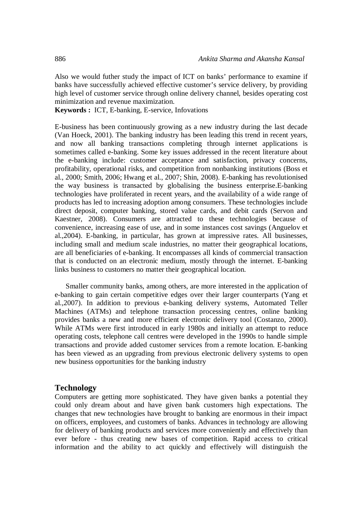Also we would futher study the impact of ICT on banks' performance to examine if banks have successfully achieved effective customer's service delivery, by providing high level of customer service through online delivery channel, besides operating cost minimization and revenue maximization.

**Keywords :** ICT, E-banking, E-service, Infovations

E-business has been continuously growing as a new industry during the last decade (Van Hoeck, 2001). The banking industry has been leading this trend in recent years, and now all banking transactions completing through internet applications is sometimes called e-banking. Some key issues addressed in the recent literature about the e-banking include: customer acceptance and satisfaction, privacy concerns, profitability, operational risks, and competition from nonbanking institutions (Boss et al., 2000; Smith, 2006; Hwang et al., 2007; Shin, 2008). E-banking has revolutionised the way business is transacted by globalising the business enterprise.E-banking technologies have proliferated in recent years, and the availability of a wide range of products has led to increasing adoption among consumers. These technologies include direct deposit, computer banking, stored value cards, and debit cards (Servon and Kaestner, 2008). Consumers are attracted to these technologies because of convenience, increasing ease of use, and in some instances cost savings (Anguelov et al.,2004). E-banking, in particular, has grown at impressive rates. All businesses, including small and medium scale industries, no matter their geographical locations, are all beneficiaries of e-banking. It encompasses all kinds of commercial transaction that is conducted on an electronic medium, mostly through the internet. E-banking links business to customers no matter their geographical location.

Smaller community banks, among others, are more interested in the application of e-banking to gain certain competitive edges over their larger counterparts (Yang et al.,2007). In addition to previous e-banking delivery systems, Automated Teller Machines (ATMs) and telephone transaction processing centres, online banking provides banks a new and more efficient electronic delivery tool (Costanzo, 2000). While ATMs were first introduced in early 1980s and initially an attempt to reduce operating costs, telephone call centres were developed in the 1990s to handle simple transactions and provide added customer services from a remote location. E-banking has been viewed as an upgrading from previous electronic delivery systems to open new business opportunities for the banking industry

#### **Technology**

Computers are getting more sophisticated. They have given banks a potential they could only dream about and have given bank customers high expectations. The changes that new technologies have brought to banking are enormous in their impact on officers, employees, and customers of banks. Advances in technology are allowing for delivery of banking products and services more conveniently and effectively than ever before - thus creating new bases of competition. Rapid access to critical information and the ability to act quickly and effectively will distinguish the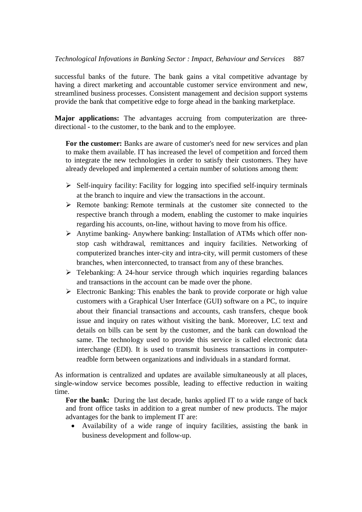successful banks of the future. The bank gains a vital competitive advantage by having a direct marketing and accountable customer service environment and new, streamlined business processes. Consistent management and decision support systems provide the bank that competitive edge to forge ahead in the banking marketplace.

**Major applications:** The advantages accruing from computerization are threedirectional - to the customer, to the bank and to the employee.

**For the customer:** Banks are aware of customer's need for new services and plan to make them available. IT has increased the level of competition and forced them to integrate the new technologies in order to satisfy their customers. They have already developed and implemented a certain number of solutions among them:

- $\triangleright$  Self-inquiry facility: Facility for logging into specified self-inquiry terminals at the branch to inquire and view the transactions in the account.
- Remote banking: Remote terminals at the customer site connected to the respective branch through a modem, enabling the customer to make inquiries regarding his accounts, on-line, without having to move from his office.
- Anytime banking- Anywhere banking: Installation of ATMs which offer nonstop cash withdrawal, remittances and inquiry facilities. Networking of computerized branches inter-city and intra-city, will permit customers of these branches, when interconnected, to transact from any of these branches.
- $\triangleright$  Telebanking: A 24-hour service through which inquiries regarding balances and transactions in the account can be made over the phone.
- $\triangleright$  Electronic Banking: This enables the bank to provide corporate or high value customers with a Graphical User Interface (GUI) software on a PC, to inquire about their financial transactions and accounts, cash transfers, cheque book issue and inquiry on rates without visiting the bank. Moreover, LC text and details on bills can be sent by the customer, and the bank can download the same. The technology used to provide this service is called electronic data interchange (EDI). It is used to transmit business transactions in computerreadble form between organizations and individuals in a standard format.

As information is centralized and updates are available simultaneously at all places, single-window service becomes possible, leading to effective reduction in waiting time.

**For the bank:** During the last decade, banks applied IT to a wide range of back and front office tasks in addition to a great number of new products. The major advantages for the bank to implement IT are:

 Availability of a wide range of inquiry facilities, assisting the bank in business development and follow-up.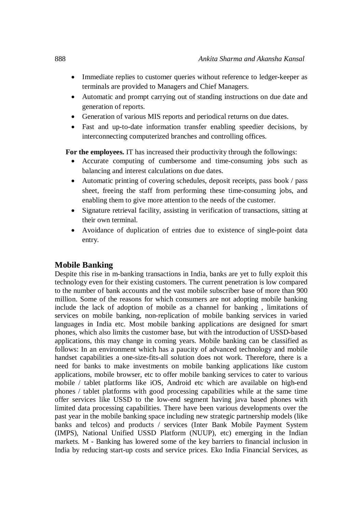- Immediate replies to customer queries without reference to ledger-keeper as terminals are provided to Managers and Chief Managers.
- Automatic and prompt carrying out of standing instructions on due date and generation of reports.
- Generation of various MIS reports and periodical returns on due dates.
- Fast and up-to-date information transfer enabling speedier decisions, by interconnecting computerized branches and controlling offices.

**For the employees.** IT has increased their productivity through the followings:

- Accurate computing of cumbersome and time-consuming jobs such as balancing and interest calculations on due dates.
- Automatic printing of covering schedules, deposit receipts, pass book / pass sheet, freeing the staff from performing these time-consuming jobs, and enabling them to give more attention to the needs of the customer.
- Signature retrieval facility, assisting in verification of transactions, sitting at their own terminal.
- Avoidance of duplication of entries due to existence of single-point data entry.

### **Mobile Banking**

Despite this rise in m-banking transactions in India, banks are yet to fully exploit this technology even for their existing customers. The current penetration is low compared to the number of bank accounts and the vast mobile subscriber base of more than 900 million. Some of the reasons for which consumers are not adopting mobile banking include the lack of adoption of mobile as a channel for banking , limitations of services on mobile banking, non-replication of mobile banking services in varied languages in India etc. Most mobile banking applications are designed for smart phones, which also limits the customer base, but with the introduction of USSD-based applications, this may change in coming years. Mobile banking can be classified as follows: In an environment which has a paucity of advanced technology and mobile handset capabilities a one-size-fits-all solution does not work. Therefore, there is a need for banks to make investments on mobile banking applications like custom applications, mobile browser, etc to offer mobile banking services to cater to various mobile / tablet platforms like iOS, Android etc which are available on high-end phones / tablet platforms with good processing capabilities while at the same time offer services like USSD to the low-end segment having java based phones with limited data processing capabilities. There have been various developments over the past year in the mobile banking space including new strategic partnership models (like banks and telcos) and products / services (Inter Bank Mobile Payment System (IMPS), National Unified USSD Platform (NUUP), etc) emerging in the Indian markets. M - Banking has lowered some of the key barriers to financial inclusion in India by reducing start-up costs and service prices. Eko India Financial Services, as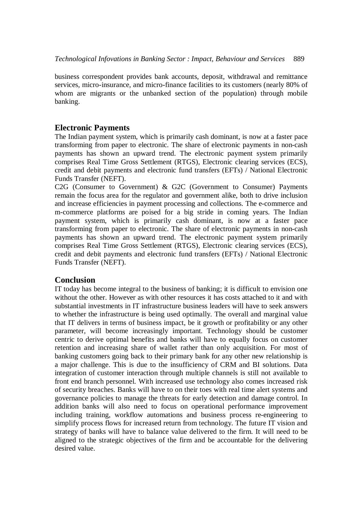business correspondent provides bank accounts, deposit, withdrawal and remittance services, micro-insurance, and micro-finance facilities to its customers (nearly 80% of whom are migrants or the unbanked section of the population) through mobile banking.

## **Electronic Payments**

The Indian payment system, which is primarily cash dominant, is now at a faster pace transforming from paper to electronic. The share of electronic payments in non-cash payments has shown an upward trend. The electronic payment system primarily comprises Real Time Gross Settlement (RTGS), Electronic clearing services (ECS), credit and debit payments and electronic fund transfers (EFTs) / National Electronic Funds Transfer (NEFT).

C2G (Consumer to Government) & G2C (Government to Consumer) Payments remain the focus area for the regulator and government alike, both to drive inclusion and increase efficiencies in payment processing and collections. The e-commerce and m-commerce platforms are poised for a big stride in coming years. The Indian payment system, which is primarily cash dominant, is now at a faster pace transforming from paper to electronic. The share of electronic payments in non-cash payments has shown an upward trend. The electronic payment system primarily comprises Real Time Gross Settlement (RTGS), Electronic clearing services (ECS), credit and debit payments and electronic fund transfers (EFTs) / National Electronic Funds Transfer (NEFT).

### **Conclusion**

IT today has become integral to the business of banking; it is difficult to envision one without the other. However as with other resources it has costs attached to it and with substantial investments in IT infrastructure business leaders will have to seek answers to whether the infrastructure is being used optimally. The overall and marginal value that IT delivers in terms of business impact, be it growth or profitability or any other parameter, will become increasingly important. Technology should be customer centric to derive optimal benefits and banks will have to equally focus on customer retention and increasing share of wallet rather than only acquisition. For most of banking customers going back to their primary bank for any other new relationship is a major challenge. This is due to the insufficiency of CRM and BI solutions. Data integration of customer interaction through multiple channels is still not available to front end branch personnel. With increased use technology also comes increased risk of security breaches. Banks will have to on their toes with real time alert systems and governance policies to manage the threats for early detection and damage control. In addition banks will also need to focus on operational performance improvement including training, workflow automations and business process re-engineering to simplify process flows for increased return from technology. The future IT vision and strategy of banks will have to balance value delivered to the firm. It will need to be aligned to the strategic objectives of the firm and be accountable for the delivering desired value.